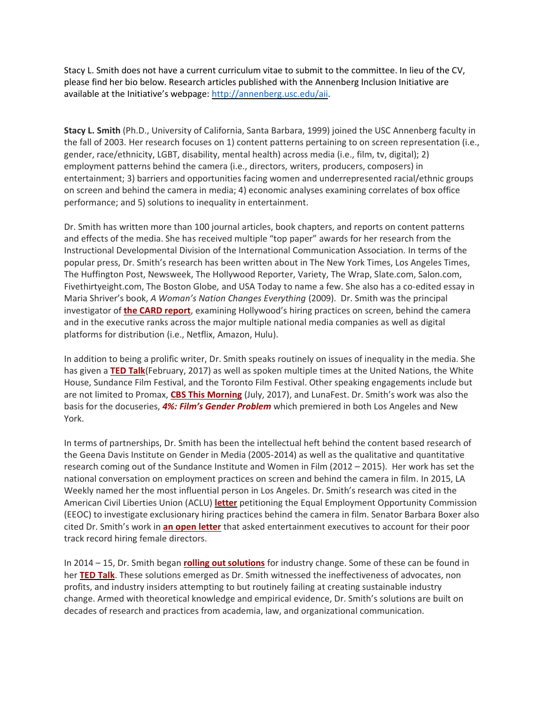Stacy L. Smith does not have a current curriculum vitae to submit to the committee. In lieu of the CV, please find her bio below. Research articles published with the Annenberg Inclusion Initiative are available at the Initiative's webpage: [http://annenberg.usc.edu/aii.](http://annenberg.usc.edu/aii)

**Stacy L. Smith** (Ph.D., University of California, Santa Barbara, 1999) joined the USC Annenberg faculty in the fall of 2003. Her research focuses on 1) content patterns pertaining to on screen representation (i.e., gender, race/ethnicity, LGBT, disability, mental health) across media (i.e., film, tv, digital); 2) employment patterns behind the camera (i.e., directors, writers, producers, composers) in entertainment; 3) barriers and opportunities facing women and underrepresented racial/ethnic groups on screen and behind the camera in media; 4) economic analyses examining correlates of box office performance; and 5) solutions to inequality in entertainment.

Dr. Smith has written more than 100 journal articles, book chapters, and reports on content patterns and effects of the media. She has received multiple "top paper" awards for her research from the Instructional Developmental Division of the International Communication Association. In terms of the popular press, Dr. Smith's research has been written about in The New York Times, Los Angeles Times, The Huffington Post, Newsweek, The Hollywood Reporter, Variety, The Wrap, Slate.com, Salon.com, Fivethirtyeight.com, The Boston Globe*,* and USA Today to name a few. She also has a co-edited essay in Maria Shriver's book, *A Woman's Nation Changes Everything* (2009). Dr. Smith was the principal investigator of **[the CARD report](http://annenberg.usc.edu/sites/default/files/2017/04/07/MDSCI_CARD_Report_FINAL_Exec_Summary.pdf)**, examining Hollywood's hiring practices on screen, behind the camera and in the executive ranks across the major multiple national media companies as well as digital platforms for distribution (i.e., Netflix, Amazon, Hulu).

In addition to being a prolific writer, Dr. Smith speaks routinely on issues of inequality in the media. She has given a **[TED Talk](https://www.ted.com/talks/stacy_smith_the_data_behind_hollywood_s_sexism)**(February, 2017) as well as spoken multiple times at the United Nations, the White House, Sundance Film Festival, and the Toronto Film Festival. Other speaking engagements include but are not limited to Promax, **[CBS This Morning](http://www.cbs.com/shows/cbs_this_morning/video/pUY2JD9x64GK25oW9p7in768kFKs4vYy/study-shows-ongoing-inclusion-crisis-in-film-industry/)** (July, 2017), and LunaFest. Dr. Smith's work was also the basis for the docuseries, *[4%: Film's Gender Problem](https://www.youtube.com/watch?v=UK10c6aAAJk)* which premiered in both Los Angeles and New York.

In terms of partnerships, Dr. Smith has been the intellectual heft behind the content based research of the Geena Davis Institute on Gender in Media (2005-2014) as well as the qualitative and quantitative research coming out of the Sundance Institute and Women in Film (2012 – 2015). Her work has set the national conversation on employment practices on screen and behind the camera in film. In 2015, LA Weekly named her the most influential person in Los Angeles. Dr. Smith's research was cited in the American Civil Liberties Union (ACLU) **[letter](https://www.aclusocal.org/en/filmequality)** petitioning the Equal Employment Opportunity Commission (EEOC) to investigate exclusionary hiring practices behind the camera in film. Senator Barbara Boxer also cited Dr. Smith's work in **[an open letter](http://variety.com/2015/film/news/senator-boxer-praise-warner-bros-female-directors-1201526493/)** that asked entertainment executives to account for their poor track record hiring female directors.

In 2014 – 15, Dr. Smith began **[rolling out solutions](http://www.hollywoodreporter.com/news/hey-hollywood-time-adopt-nfls-754659)** for industry change. Some of these can be found in her **[TED Talk](https://www.ted.com/talks/stacy_smith_the_data_behind_hollywood_s_sexism)**. These solutions emerged as Dr. Smith witnessed the ineffectiveness of advocates, non profits, and industry insiders attempting to but routinely failing at creating sustainable industry change. Armed with theoretical knowledge and empirical evidence, Dr. Smith's solutions are built on decades of research and practices from academia, law, and organizational communication.